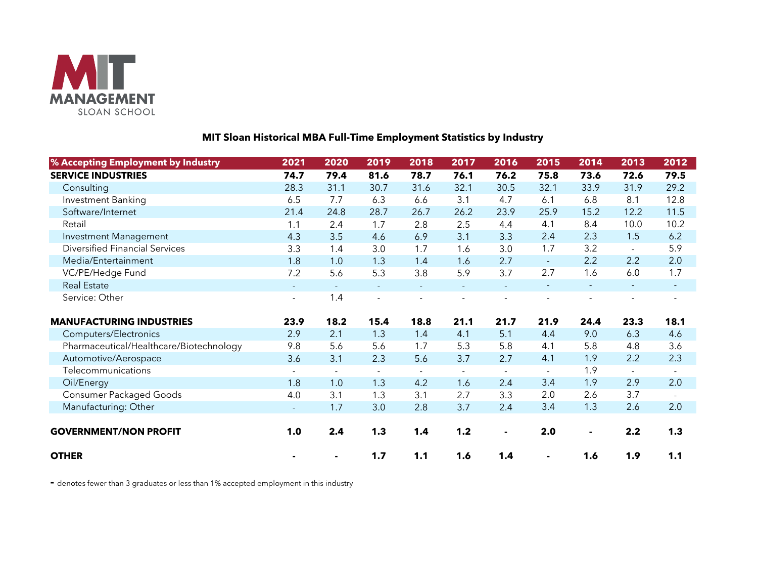

## **MIT Sloan Historical MBA Full-Time Employment Statistics by Industry**

| % Accepting Employment by Industry      | 2021                     | 2020           | 2019           | 2018     | 2017           | 2016                     | 2015           | 2014 | 2013           | 2012           |
|-----------------------------------------|--------------------------|----------------|----------------|----------|----------------|--------------------------|----------------|------|----------------|----------------|
| <b>SERVICE INDUSTRIES</b>               | 74.7                     | 79.4           | 81.6           | 78.7     | 76.1           | 76.2                     | 75.8           | 73.6 | 72.6           | 79.5           |
| Consulting                              | 28.3                     | 31.1           | 30.7           | 31.6     | 32.1           | 30.5                     | 32.1           | 33.9 | 31.9           | 29.2           |
| Investment Banking                      | 6.5                      | 7.7            | 6.3            | 6.6      | 3.1            | 4.7                      | 6.1            | 6.8  | 8.1            | 12.8           |
| Software/Internet                       | 21.4                     | 24.8           | 28.7           | 26.7     | 26.2           | 23.9                     | 25.9           | 15.2 | 12.2           | 11.5           |
| Retail                                  | 1.1                      | 2.4            | 1.7            | 2.8      | 2.5            | 4.4                      | 4.1            | 8.4  | 10.0           | 10.2           |
| Investment Management                   | 4.3                      | 3.5            | 4.6            | 6.9      | 3.1            | 3.3                      | 2.4            | 2.3  | 1.5            | 6.2            |
| <b>Diversified Financial Services</b>   | 3.3                      | 1.4            | 3.0            | 1.7      | 1.6            | 3.0                      | 1.7            | 3.2  | $\sim$         | 5.9            |
| Media/Entertainment                     | 1.8                      | 1.0            | 1.3            | 1.4      | 1.6            | 2.7                      | $\blacksquare$ | 2.2  | 2.2            | 2.0            |
| VC/PE/Hedge Fund                        | 7.2                      | 5.6            | 5.3            | 3.8      | 5.9            | 3.7                      | 2.7            | 1.6  | 6.0            | 1.7            |
| <b>Real Estate</b>                      | $\equiv$                 |                |                |          |                |                          |                |      |                |                |
| Service: Other                          | $\overline{\phantom{a}}$ | 1.4            | $\blacksquare$ |          |                |                          |                |      |                |                |
| <b>MANUFACTURING INDUSTRIES</b>         | 23.9                     | 18.2           | 15.4           | 18.8     | 21.1           | 21.7                     | 21.9           | 24.4 | 23.3           | 18.1           |
| Computers/Electronics                   | 2.9                      | 2.1            | 1.3            | 1.4      | 4.1            | 5.1                      | 4.4            | 9.0  | 6.3            | 4.6            |
| Pharmaceutical/Healthcare/Biotechnology | 9.8                      | 5.6            | 5.6            | 1.7      | 5.3            | 5.8                      | 4.1            | 5.8  | 4.8            | 3.6            |
| Automotive/Aerospace                    | 3.6                      | 3.1            | 2.3            | 5.6      | 3.7            | 2.7                      | 4.1            | 1.9  | 2.2            | 2.3            |
| Telecommunications                      | $\sim$                   | $\blacksquare$ | $\blacksquare$ | $\equiv$ | $\blacksquare$ | $\overline{\phantom{a}}$ | $\sim$         | 1.9  | $\blacksquare$ | $\blacksquare$ |
| Oil/Energy                              | 1.8                      | 1.0            | 1.3            | 4.2      | 1.6            | 2.4                      | 3.4            | 1.9  | 2.9            | 2.0            |
| <b>Consumer Packaged Goods</b>          | 4.0                      | 3.1            | 1.3            | 3.1      | 2.7            | 3.3                      | 2.0            | 2.6  | 3.7            | $\blacksquare$ |
| Manufacturing: Other                    | $\blacksquare$           | 1.7            | 3.0            | 2.8      | 3.7            | 2.4                      | 3.4            | 1.3  | 2.6            | 2.0            |
|                                         |                          |                |                |          |                |                          |                |      |                |                |
| <b>GOVERNMENT/NON PROFIT</b>            | 1.0                      | 2.4            | 1.3            | 1.4      | 1.2            | $\blacksquare$           | 2.0            |      | 2.2            | 1.3            |
| <b>OTHER</b>                            |                          |                | 1.7            | 1.1      | 1.6            | 1.4                      |                | 1.6  | 1.9            | 1.1            |

**-** denotes fewer than 3 graduates or less than 1% accepted employment in this industry